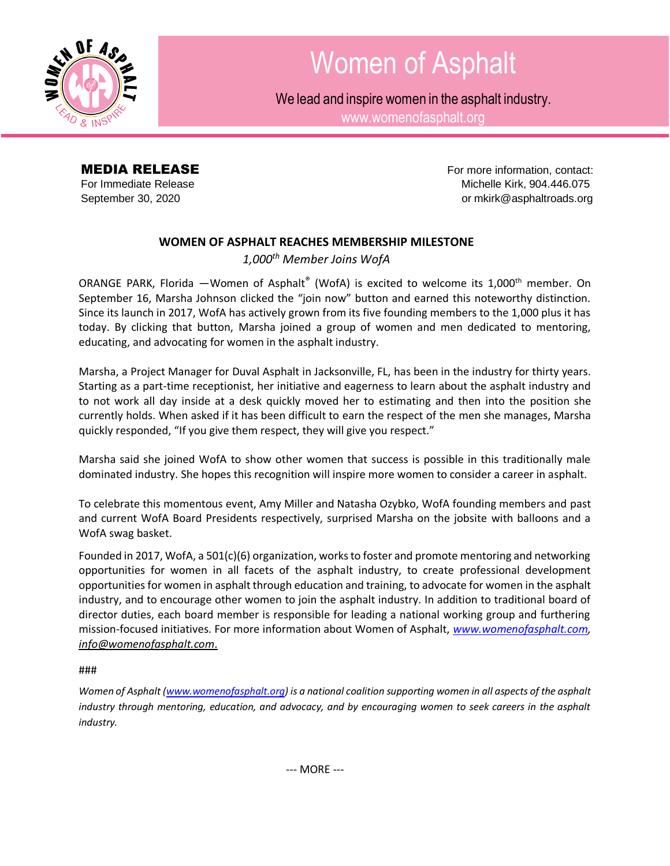

## Women of Asphalt

We lead and inspire women in the asphalt industry.

[www.womenofasphalt.org](http://www.womenofasphalt.org/)

**MEDIA RELEASE For more information, contact:** For Immediate Release **Michelle Kirk, 904.446.075** September 30, 2020 **September 30, 2020 or [mkirk@asphaltroads.org](mailto:mkirk@asphaltroads.org)** 

## **WOMEN OF ASPHALT REACHES MEMBERSHIP MILESTONE**

*1,000th Member Joins WofA*

ORANGE PARK, Florida —Women of Asphalt® (WofA) is excited to welcome its 1,000<sup>th</sup> member. On September 16, Marsha Johnson clicked the "join now" button and earned this noteworthy distinction. Since its launch in 2017, WofA has actively grown from its five founding members to the 1,000 plus it has today. By clicking that button, Marsha joined a group of women and men dedicated to mentoring, educating, and advocating for women in the asphalt industry.

Marsha, a Project Manager for Duval Asphalt in Jacksonville, FL, has been in the industry for thirty years. Starting as a part-time receptionist, her initiative and eagerness to learn about the asphalt industry and to not work all day inside at a desk quickly moved her to estimating and then into the position she currently holds. When asked if it has been difficult to earn the respect of the men she manages, Marsha quickly responded, "If you give them respect, they will give you respect."

Marsha said she joined WofA to show other women that success is possible in this traditionally male dominated industry. She hopes this recognition will inspire more women to consider a career in asphalt.

To celebrate this momentous event, Amy Miller and Natasha Ozybko, WofA founding members and past and current WofA Board Presidents respectively, surprised Marsha on the jobsite with balloons and a WofA swag basket.

Founded in 2017, WofA, a 501(c)(6) organization, works to foster and promote mentoring and networking opportunities for women in all facets of the asphalt industry, to create professional development opportunities for women in asphalt through education and training, to advocate for women in the asphalt industry, and to encourage other women to join the asphalt industry. In addition to traditional board of director duties, each board member is responsible for leading a national working group and furthering mission-focused initiatives. For more information about Women of Asphalt, *[www.womenofasphalt.com,](http://www.womenofasphalt.com/) [info@womenofasphalt.com](mailto:info@womenofasphalt.com)*.

###

*Women of Asphalt [\(www.womenofasphalt.org\)](http://www.womenofasphalt.org/) is a national coalition supporting women in all aspects of the asphalt industry through mentoring, education, and advocacy, and by encouraging women to seek careers in the asphalt industry.*